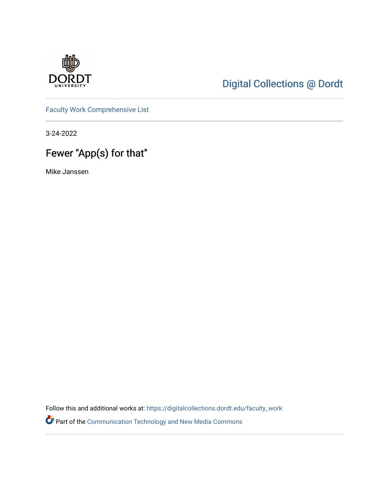

# [Digital Collections @ Dordt](https://digitalcollections.dordt.edu/)

[Faculty Work Comprehensive List](https://digitalcollections.dordt.edu/faculty_work)

3-24-2022

# Fewer "App(s) for that"

Mike Janssen

Follow this and additional works at: [https://digitalcollections.dordt.edu/faculty\\_work](https://digitalcollections.dordt.edu/faculty_work?utm_source=digitalcollections.dordt.edu%2Ffaculty_work%2F1374&utm_medium=PDF&utm_campaign=PDFCoverPages) 

Part of the [Communication Technology and New Media Commons](http://network.bepress.com/hgg/discipline/327?utm_source=digitalcollections.dordt.edu%2Ffaculty_work%2F1374&utm_medium=PDF&utm_campaign=PDFCoverPages)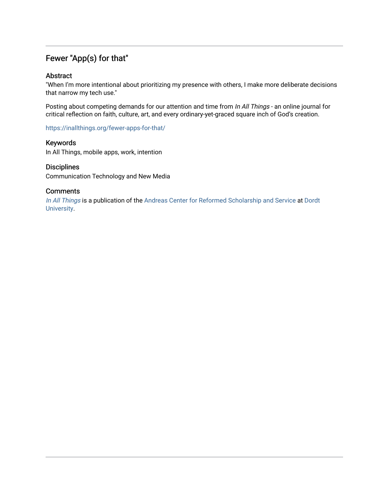## Fewer "App(s) for that"

#### Abstract

"When I'm more intentional about prioritizing my presence with others, I make more deliberate decisions that narrow my tech use."

Posting about competing demands for our attention and time from In All Things - an online journal for critical reflection on faith, culture, art, and every ordinary-yet-graced square inch of God's creation.

<https://inallthings.org/fewer-apps-for-that/>

#### Keywords

In All Things, mobile apps, work, intention

#### **Disciplines**

Communication Technology and New Media

#### **Comments**

[In All Things](http://inallthings.org/) is a publication of the [Andreas Center for Reformed Scholarship and Service](http://www.dordt.edu/services_support/andreas_center/) at Dordt [University](http://www.dordt.edu/).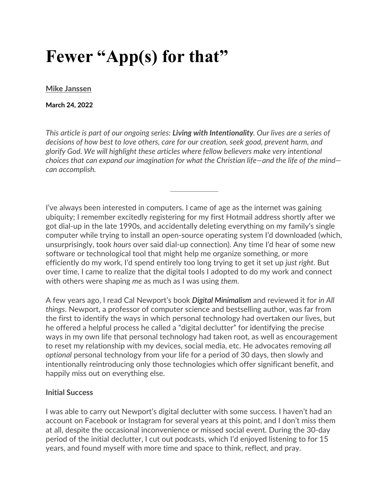# **Fewer "App(s) for that"**

#### **[Mike Janssen](https://inallthings.org/author/mike-janssen/)**

#### **March 24, 2022**

*This article is part of our ongoing series: Living with Intentionality. Our lives are a series of decisions of how best to love others, care for our creation, seek good, prevent harm, and glorify God. We will highlight these articles where fellow believers make very intentional choices that can expand our imagination for what the Christian life—and the life of the mind can accomplish.* 

I've always been interested in computers. I came of age as the internet was gaining ubiquity; I remember excitedly registering for my first Hotmail address shortly after we got dial-up in the late 1990s, and accidentally deleting everything on my family's single computer while trying to install an open-source operating system I'd downloaded (which, unsurprisingly, took *hours* over said dial-up connection). Any time I'd hear of some new software or technological tool that might help me organize something, or more efficiently do my work, I'd spend entirely too long trying to get it set up *just right*. But over time, I came to realize that the digital tools I adopted to do my work and connect with others were shaping *me* as much as I was using *them*.

A few years ago, I read Cal Newport's book *Digital Minimalism* and reviewed it for *in All things*. Newport, a professor of computer science and bestselling author, was far from the first to identify the ways in which personal technology had overtaken our lives, but he offered a helpful process he called a "digital declutter" for identifying the precise ways in my own life that personal technology had taken root, as well as encouragement to reset my relationship with my devices, social media, etc. He advocates removing *all optional* personal technology from your life for a period of 30 days, then slowly and intentionally reintroducing only those technologies which offer significant benefit, and happily miss out on everything else.

### **Initial Success**

I was able to carry out Newport's digital declutter with some success. I haven't had an account on Facebook or Instagram for several years at this point, and I don't miss them at all, despite the occasional inconvenience or missed social event. During the 30-day period of the initial declutter, I cut out podcasts, which I'd enjoyed listening to for 15 years, and found myself with more time and space to think, reflect, and pray.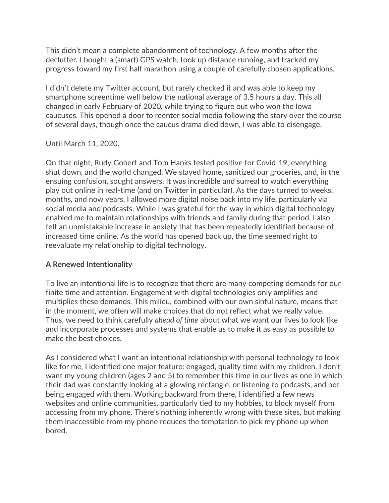This didn't mean a complete abandonment of technology. A few months after the declutter, I bought a (smart) GPS watch, took up distance running, and tracked my progress toward my first half marathon using a couple of carefully chosen applications.

I didn't delete my Twitter account, but rarely checked it and was able to keep my smartphone screentime well below the national average of 3.5 hours a day. This all changed in early February of 2020, while trying to figure out who won the Iowa caucuses. This opened a door to reenter social media following the story over the course of several days, though once the caucus drama died down, I was able to disengage.

Until March 11, 2020.

On that night, Rudy Gobert and Tom Hanks tested positive for Covid-19, everything shut down, and the world changed. We stayed home, sanitized our groceries, and, in the ensuing confusion, sought answers. It was incredible and surreal to watch everything play out online in real-time (and on Twitter in particular). As the days turned to weeks, months, and now years, I allowed more digital noise back into my life, particularly via social media and podcasts. While I was grateful for the way in which digital technology enabled me to maintain relationships with friends and family during that period, I also felt an unmistakable increase in anxiety that has been repeatedly identified because of increased time online. As the world has opened back up, the time seemed right to reevaluate my relationship to digital technology.

## **A Renewed Intentionality**

To live an intentional life is to recognize that there are many competing demands for our finite time and attention. Engagement with digital technologies only amplifies and multiplies these demands. This milieu, combined with our own sinful nature, means that in the moment, we often will make choices that do not reflect what we really value. Thus, we need to think carefully *ahead of time* about what we want our lives to look like and incorporate processes and systems that enable us to make it as easy as possible to make the best choices.

As I considered what I want an intentional relationship with personal technology to look like for me, I identified one major feature: engaged, quality time with my children. I don't want my young children (ages 2 and 5) to remember this time in our lives as one in which their dad was constantly looking at a glowing rectangle, or listening to podcasts, and not being engaged with them. Working backward from there, I identified a few news websites and online communities, particularly tied to my hobbies, to block myself from accessing from my phone. There's nothing inherently wrong with these sites, but making them inaccessible from my phone reduces the temptation to pick my phone up when bored.